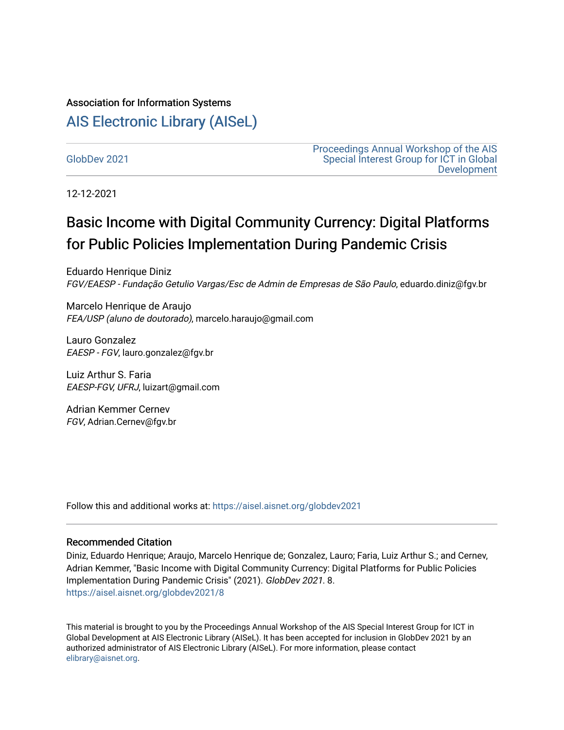# Association for Information Systems

# [AIS Electronic Library \(AISeL\)](https://aisel.aisnet.org/)

[GlobDev 2021](https://aisel.aisnet.org/globdev2021)

[Proceedings Annual Workshop of the AIS](https://aisel.aisnet.org/globdev)  [Special Interest Group for ICT in Global](https://aisel.aisnet.org/globdev)  [Development](https://aisel.aisnet.org/globdev) 

12-12-2021

# Basic Income with Digital Community Currency: Digital Platforms for Public Policies Implementation During Pandemic Crisis

Eduardo Henrique Diniz FGV/EAESP - Fundação Getulio Vargas/Esc de Admin de Empresas de São Paulo, eduardo.diniz@fgv.br

Marcelo Henrique de Araujo FEA/USP (aluno de doutorado), marcelo.haraujo@gmail.com

Lauro Gonzalez EAESP - FGV, lauro.gonzalez@fgv.br

Luiz Arthur S. Faria EAESP-FGV, UFRJ, luizart@gmail.com

Adrian Kemmer Cernev FGV, Adrian.Cernev@fgv.br

Follow this and additional works at: [https://aisel.aisnet.org/globdev2021](https://aisel.aisnet.org/globdev2021?utm_source=aisel.aisnet.org%2Fglobdev2021%2F8&utm_medium=PDF&utm_campaign=PDFCoverPages) 

#### Recommended Citation

Diniz, Eduardo Henrique; Araujo, Marcelo Henrique de; Gonzalez, Lauro; Faria, Luiz Arthur S.; and Cernev, Adrian Kemmer, "Basic Income with Digital Community Currency: Digital Platforms for Public Policies Implementation During Pandemic Crisis" (2021). GlobDev 2021. 8. [https://aisel.aisnet.org/globdev2021/8](https://aisel.aisnet.org/globdev2021/8?utm_source=aisel.aisnet.org%2Fglobdev2021%2F8&utm_medium=PDF&utm_campaign=PDFCoverPages)

This material is brought to you by the Proceedings Annual Workshop of the AIS Special Interest Group for ICT in Global Development at AIS Electronic Library (AISeL). It has been accepted for inclusion in GlobDev 2021 by an authorized administrator of AIS Electronic Library (AISeL). For more information, please contact [elibrary@aisnet.org](mailto:elibrary@aisnet.org%3E).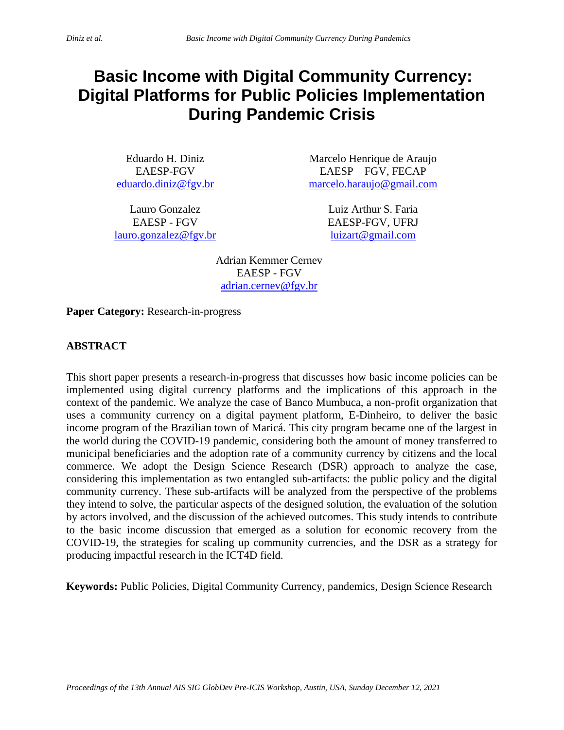# **Basic Income with Digital Community Currency: Digital Platforms for Public Policies Implementation During Pandemic Crisis**

Eduardo H. Diniz EAESP-FGV [eduardo.diniz@fgv.br](mailto:eduardo.diniz@fgv.br)

Lauro Gonzalez EAESP - FGV [lauro.gonzalez@fgv.br](mailto:lauro.gonzalez@fgv.br)

Marcelo Henrique de Araujo EAESP – FGV, FECAP [marcelo.haraujo@gmail.com](mailto:marcelo.haraujo@gmail.com)

> Luiz Arthur S. Faria EAESP-FGV, UFRJ [luizart@gmail.com](mailto:luizart@gmail.com)

Adrian Kemmer Cernev EAESP - FGV [adrian.cernev@fgv.br](mailto:adrian.cernev@fgv.br)

**Paper Category:** Research-in-progress

# **ABSTRACT**

This short paper presents a research-in-progress that discusses how basic income policies can be implemented using digital currency platforms and the implications of this approach in the context of the pandemic. We analyze the case of Banco Mumbuca, a non-profit organization that uses a community currency on a digital payment platform, E-Dinheiro, to deliver the basic income program of the Brazilian town of Maricá. This city program became one of the largest in the world during the COVID-19 pandemic, considering both the amount of money transferred to municipal beneficiaries and the adoption rate of a community currency by citizens and the local commerce. We adopt the Design Science Research (DSR) approach to analyze the case, considering this implementation as two entangled sub-artifacts: the public policy and the digital community currency. These sub-artifacts will be analyzed from the perspective of the problems they intend to solve, the particular aspects of the designed solution, the evaluation of the solution by actors involved, and the discussion of the achieved outcomes. This study intends to contribute to the basic income discussion that emerged as a solution for economic recovery from the COVID-19, the strategies for scaling up community currencies, and the DSR as a strategy for producing impactful research in the ICT4D field.

**Keywords:** Public Policies, Digital Community Currency, pandemics, Design Science Research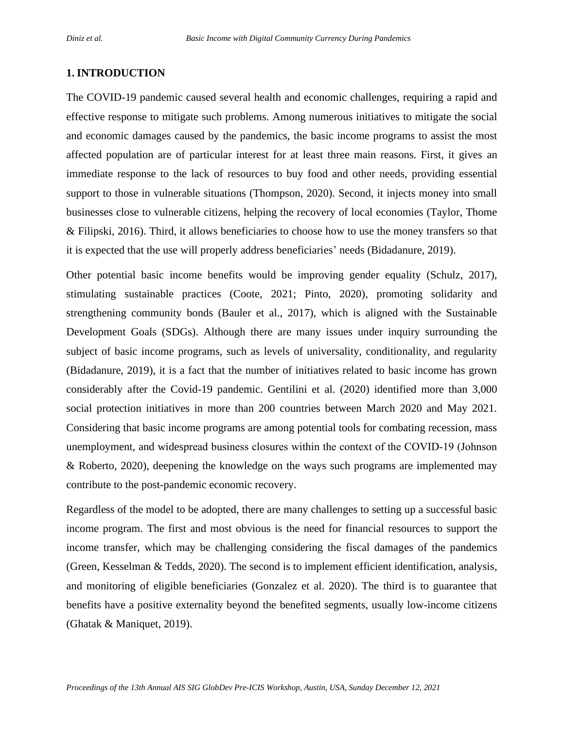#### **1. INTRODUCTION**

The COVID-19 pandemic caused several health and economic challenges, requiring a rapid and effective response to mitigate such problems. Among numerous initiatives to mitigate the social and economic damages caused by the pandemics, the basic income programs to assist the most affected population are of particular interest for at least three main reasons. First, it gives an immediate response to the lack of resources to buy food and other needs, providing essential support to those in vulnerable situations (Thompson, 2020). Second, it injects money into small businesses close to vulnerable citizens, helping the recovery of local economies (Taylor, Thome & Filipski, 2016). Third, it allows beneficiaries to choose how to use the money transfers so that it is expected that the use will properly address beneficiaries' needs (Bidadanure, 2019).

Other potential basic income benefits would be improving gender equality (Schulz, 2017), stimulating sustainable practices (Coote, 2021; Pinto, 2020), promoting solidarity and strengthening community bonds (Bauler et al., 2017), which is aligned with the Sustainable Development Goals (SDGs). Although there are many issues under inquiry surrounding the subject of basic income programs, such as levels of universality, conditionality, and regularity (Bidadanure, 2019), it is a fact that the number of initiatives related to basic income has grown considerably after the Covid-19 pandemic. Gentilini et al. (2020) identified more than 3,000 social protection initiatives in more than 200 countries between March 2020 and May 2021. Considering that basic income programs are among potential tools for combating recession, mass unemployment, and widespread business closures within the context of the COVID‐19 (Johnson & Roberto, 2020), deepening the knowledge on the ways such programs are implemented may contribute to the post-pandemic economic recovery.

Regardless of the model to be adopted, there are many challenges to setting up a successful basic income program. The first and most obvious is the need for financial resources to support the income transfer, which may be challenging considering the fiscal damages of the pandemics (Green, Kesselman & Tedds, 2020). The second is to implement efficient identification, analysis, and monitoring of eligible beneficiaries (Gonzalez et al. 2020). The third is to guarantee that benefits have a positive externality beyond the benefited segments, usually low-income citizens (Ghatak & Maniquet, 2019).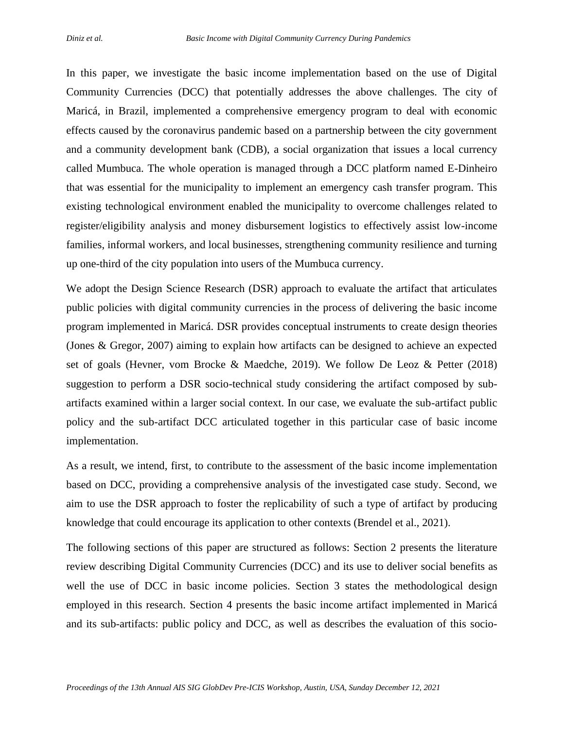In this paper, we investigate the basic income implementation based on the use of Digital Community Currencies (DCC) that potentially addresses the above challenges. The city of Maricá, in Brazil, implemented a comprehensive emergency program to deal with economic effects caused by the coronavirus pandemic based on a partnership between the city government and a community development bank (CDB), a social organization that issues a local currency called Mumbuca. The whole operation is managed through a DCC platform named E-Dinheiro that was essential for the municipality to implement an emergency cash transfer program. This existing technological environment enabled the municipality to overcome challenges related to register/eligibility analysis and money disbursement logistics to effectively assist low-income families, informal workers, and local businesses, strengthening community resilience and turning up one-third of the city population into users of the Mumbuca currency.

We adopt the Design Science Research (DSR) approach to evaluate the artifact that articulates public policies with digital community currencies in the process of delivering the basic income program implemented in Maricá. DSR provides conceptual instruments to create design theories (Jones & Gregor, 2007) aiming to explain how artifacts can be designed to achieve an expected set of goals (Hevner, vom Brocke & Maedche, 2019). We follow De Leoz & Petter (2018) suggestion to perform a DSR socio-technical study considering the artifact composed by subartifacts examined within a larger social context. In our case, we evaluate the sub-artifact public policy and the sub-artifact DCC articulated together in this particular case of basic income implementation.

As a result, we intend, first, to contribute to the assessment of the basic income implementation based on DCC, providing a comprehensive analysis of the investigated case study. Second, we aim to use the DSR approach to foster the replicability of such a type of artifact by producing knowledge that could encourage its application to other contexts (Brendel et al., 2021).

The following sections of this paper are structured as follows: Section 2 presents the literature review describing Digital Community Currencies (DCC) and its use to deliver social benefits as well the use of DCC in basic income policies. Section 3 states the methodological design employed in this research. Section 4 presents the basic income artifact implemented in Maricá and its sub-artifacts: public policy and DCC, as well as describes the evaluation of this socio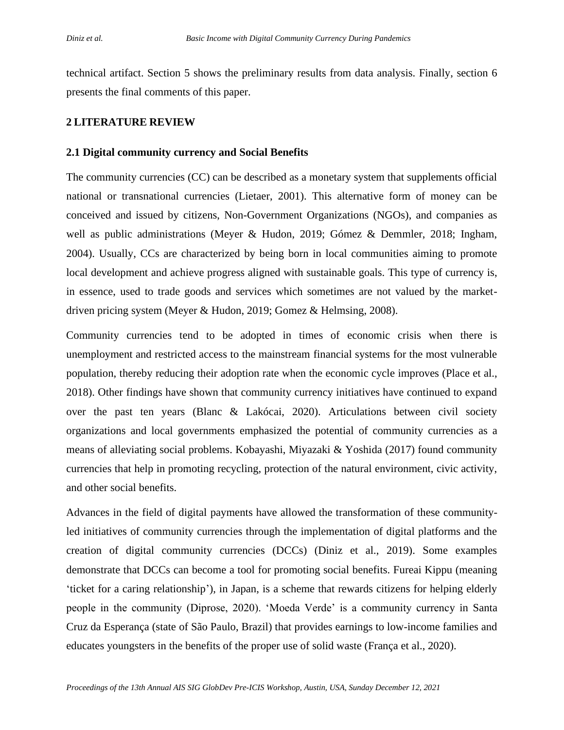technical artifact. Section 5 shows the preliminary results from data analysis. Finally, section 6 presents the final comments of this paper.

#### **2 LITERATURE REVIEW**

#### **2.1 Digital community currency and Social Benefits**

The community currencies (CC) can be described as a monetary system that supplements official national or transnational currencies (Lietaer, 2001). This alternative form of money can be conceived and issued by citizens, Non-Government Organizations (NGOs), and companies as well as public administrations (Meyer & Hudon, 2019; Gómez & Demmler, 2018; Ingham, 2004). Usually, CCs are characterized by being born in local communities aiming to promote local development and achieve progress aligned with sustainable goals. This type of currency is, in essence, used to trade goods and services which sometimes are not valued by the marketdriven pricing system (Meyer & Hudon, 2019; Gomez & Helmsing, 2008).

Community currencies tend to be adopted in times of economic crisis when there is unemployment and restricted access to the mainstream financial systems for the most vulnerable population, thereby reducing their adoption rate when the economic cycle improves (Place et al., 2018). Other findings have shown that community currency initiatives have continued to expand over the past ten years (Blanc & Lakócai, 2020). Articulations between civil society organizations and local governments emphasized the potential of community currencies as a means of alleviating social problems. Kobayashi, Miyazaki & Yoshida (2017) found community currencies that help in promoting recycling, protection of the natural environment, civic activity, and other social benefits.

Advances in the field of digital payments have allowed the transformation of these communityled initiatives of community currencies through the implementation of digital platforms and the creation of digital community currencies (DCCs) (Diniz et al., 2019). Some examples demonstrate that DCCs can become a tool for promoting social benefits. Fureai Kippu (meaning 'ticket for a caring relationship'), in Japan, is a scheme that rewards citizens for helping elderly people in the community (Diprose, 2020). 'Moeda Verde' is a community currency in Santa Cruz da Esperança (state of São Paulo, Brazil) that provides earnings to low-income families and educates youngsters in the benefits of the proper use of solid waste (França et al., 2020).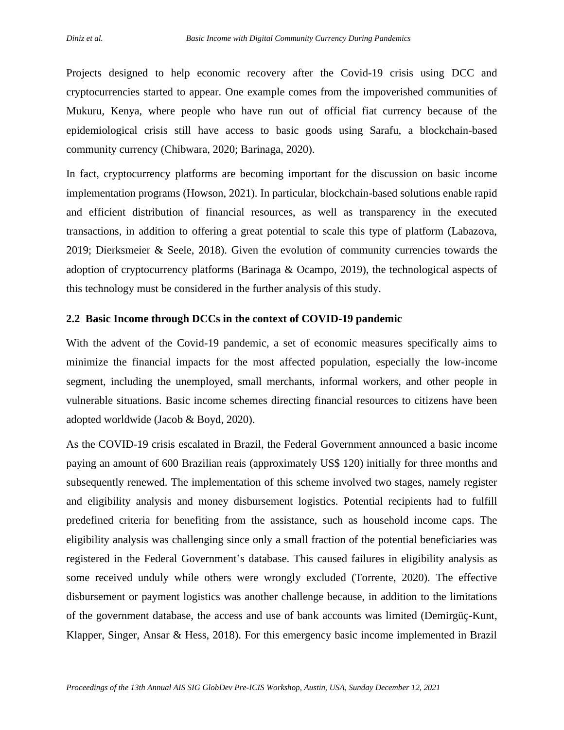Projects designed to help economic recovery after the Covid-19 crisis using DCC and cryptocurrencies started to appear. One example comes from the impoverished communities of Mukuru, Kenya, where people who have run out of official fiat currency because of the epidemiological crisis still have access to basic goods using Sarafu, a blockchain-based community currency (Chibwara, 2020; Barinaga, 2020).

In fact, cryptocurrency platforms are becoming important for the discussion on basic income implementation programs (Howson, 2021). In particular, blockchain-based solutions enable rapid and efficient distribution of financial resources, as well as transparency in the executed transactions, in addition to offering a great potential to scale this type of platform (Labazova, 2019; Dierksmeier & Seele, 2018). Given the evolution of community currencies towards the adoption of cryptocurrency platforms (Barinaga & Ocampo, 2019), the technological aspects of this technology must be considered in the further analysis of this study.

#### **2.2 Basic Income through DCCs in the context of COVID-19 pandemic**

With the advent of the Covid-19 pandemic, a set of economic measures specifically aims to minimize the financial impacts for the most affected population, especially the low-income segment, including the unemployed, small merchants, informal workers, and other people in vulnerable situations. Basic income schemes directing financial resources to citizens have been adopted worldwide (Jacob & Boyd, 2020).

As the COVID-19 crisis escalated in Brazil, the Federal Government announced a basic income paying an amount of 600 Brazilian reais (approximately US\$ 120) initially for three months and subsequently renewed. The implementation of this scheme involved two stages, namely register and eligibility analysis and money disbursement logistics. Potential recipients had to fulfill predefined criteria for benefiting from the assistance, such as household income caps. The eligibility analysis was challenging since only a small fraction of the potential beneficiaries was registered in the Federal Government's database. This caused failures in eligibility analysis as some received unduly while others were wrongly excluded (Torrente, 2020). The effective disbursement or payment logistics was another challenge because, in addition to the limitations of the government database, the access and use of bank accounts was limited (Demirgüç-Kunt, Klapper, Singer, Ansar & Hess, 2018). For this emergency basic income implemented in Brazil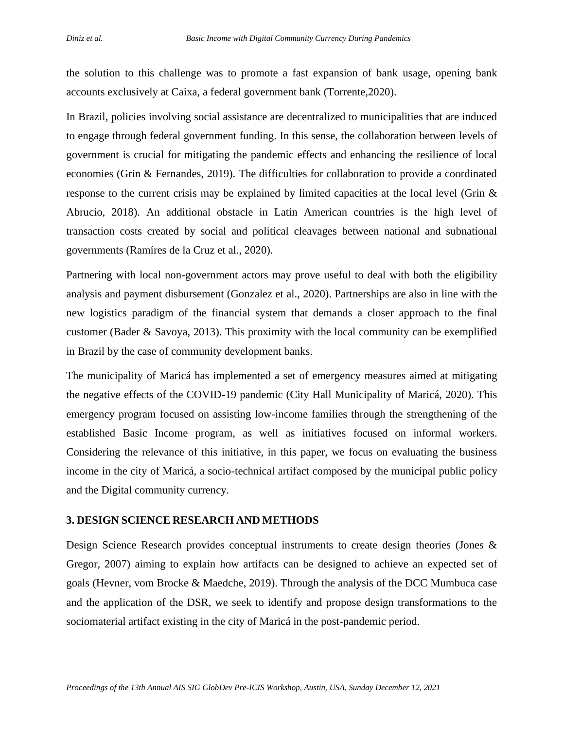the solution to this challenge was to promote a fast expansion of bank usage, opening bank accounts exclusively at Caixa, a federal government bank (Torrente,2020).

In Brazil, policies involving social assistance are decentralized to municipalities that are induced to engage through federal government funding. In this sense, the collaboration between levels of government is crucial for mitigating the pandemic effects and enhancing the resilience of local economies (Grin & Fernandes, 2019). The difficulties for collaboration to provide a coordinated response to the current crisis may be explained by limited capacities at the local level (Grin & Abrucio, 2018). An additional obstacle in Latin American countries is the high level of transaction costs created by social and political cleavages between national and subnational governments (Ramíres de la Cruz et al., 2020).

Partnering with local non-government actors may prove useful to deal with both the eligibility analysis and payment disbursement (Gonzalez et al., 2020). Partnerships are also in line with the new logistics paradigm of the financial system that demands a closer approach to the final customer (Bader & Savoya, 2013). This proximity with the local community can be exemplified in Brazil by the case of community development banks.

The municipality of Maricá has implemented a set of emergency measures aimed at mitigating the negative effects of the COVID-19 pandemic (City Hall Municipality of Maricá, 2020). This emergency program focused on assisting low-income families through the strengthening of the established Basic Income program, as well as initiatives focused on informal workers. Considering the relevance of this initiative, in this paper, we focus on evaluating the business income in the city of Maricá, a socio-technical artifact composed by the municipal public policy and the Digital community currency.

#### **3. DESIGN SCIENCE RESEARCH AND METHODS**

Design Science Research provides conceptual instruments to create design theories (Jones & Gregor, 2007) aiming to explain how artifacts can be designed to achieve an expected set of goals (Hevner, vom Brocke & Maedche, 2019). Through the analysis of the DCC Mumbuca case and the application of the DSR, we seek to identify and propose design transformations to the sociomaterial artifact existing in the city of Maricá in the post-pandemic period.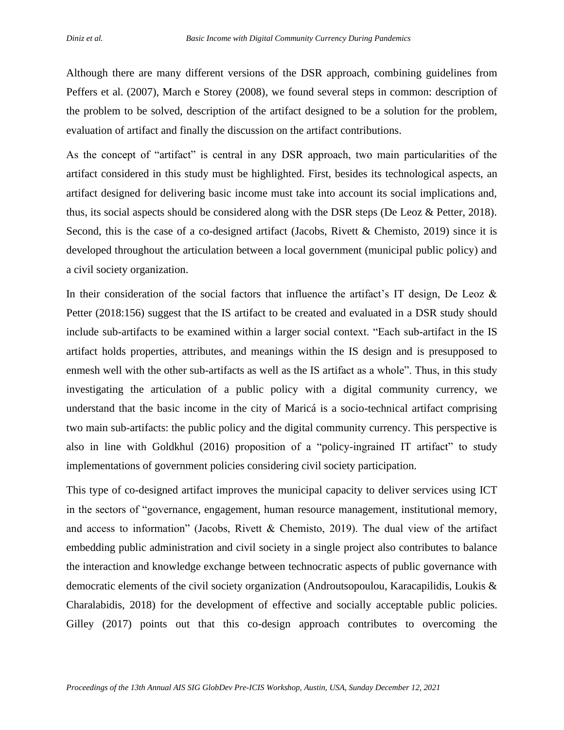Although there are many different versions of the DSR approach, combining guidelines from Peffers et al. (2007), March e Storey (2008), we found several steps in common: description of the problem to be solved, description of the artifact designed to be a solution for the problem, evaluation of artifact and finally the discussion on the artifact contributions.

As the concept of "artifact" is central in any DSR approach, two main particularities of the artifact considered in this study must be highlighted. First, besides its technological aspects, an artifact designed for delivering basic income must take into account its social implications and, thus, its social aspects should be considered along with the DSR steps (De Leoz & Petter, 2018). Second, this is the case of a co-designed artifact (Jacobs, Rivett & Chemisto, 2019) since it is developed throughout the articulation between a local government (municipal public policy) and a civil society organization.

In their consideration of the social factors that influence the artifact's IT design, De Leoz  $\&$ Petter (2018:156) suggest that the IS artifact to be created and evaluated in a DSR study should include sub-artifacts to be examined within a larger social context. "Each sub-artifact in the IS artifact holds properties, attributes, and meanings within the IS design and is presupposed to enmesh well with the other sub-artifacts as well as the IS artifact as a whole". Thus, in this study investigating the articulation of a public policy with a digital community currency, we understand that the basic income in the city of Maricá is a socio-technical artifact comprising two main sub-artifacts: the public policy and the digital community currency. This perspective is also in line with Goldkhul (2016) proposition of a "policy-ingrained IT artifact" to study implementations of government policies considering civil society participation.

This type of co-designed artifact improves the municipal capacity to deliver services using ICT in the sectors of "governance, engagement, human resource management, institutional memory, and access to information" (Jacobs, Rivett & Chemisto, 2019). The dual view of the artifact embedding public administration and civil society in a single project also contributes to balance the interaction and knowledge exchange between technocratic aspects of public governance with democratic elements of the civil society organization (Androutsopoulou, Karacapilidis, Loukis & Charalabidis, 2018) for the development of effective and socially acceptable public policies. Gilley (2017) points out that this co-design approach contributes to overcoming the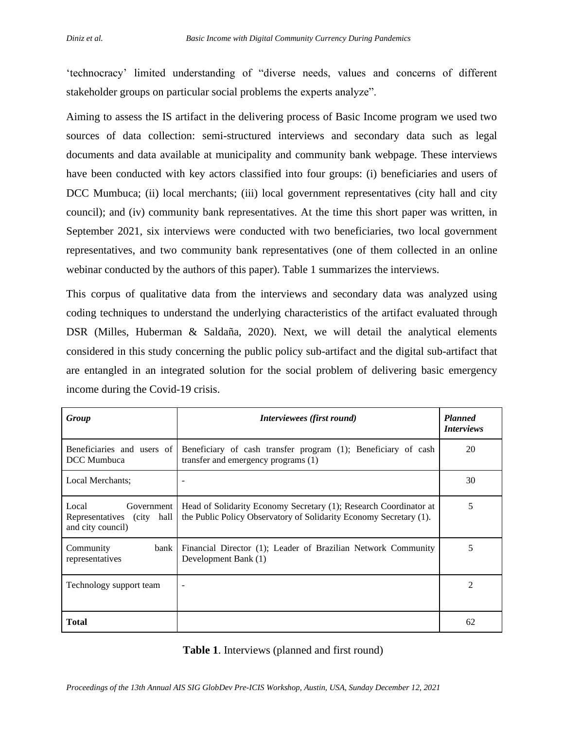'technocracy' limited understanding of "diverse needs, values and concerns of different stakeholder groups on particular social problems the experts analyze".

Aiming to assess the IS artifact in the delivering process of Basic Income program we used two sources of data collection: semi-structured interviews and secondary data such as legal documents and data available at municipality and community bank webpage. These interviews have been conducted with key actors classified into four groups: (i) beneficiaries and users of DCC Mumbuca; (ii) local merchants; (iii) local government representatives (city hall and city council); and (iv) community bank representatives. At the time this short paper was written, in September 2021, six interviews were conducted with two beneficiaries, two local government representatives, and two community bank representatives (one of them collected in an online webinar conducted by the authors of this paper). Table 1 summarizes the interviews.

This corpus of qualitative data from the interviews and secondary data was analyzed using coding techniques to understand the underlying characteristics of the artifact evaluated through DSR (Milles, Huberman & Saldaña, 2020). Next, we will detail the analytical elements considered in this study concerning the public policy sub-artifact and the digital sub-artifact that are entangled in an integrated solution for the social problem of delivering basic emergency income during the Covid-19 crisis.

| Group                                                                       | Interviewees (first round)                                                                                                              | <b>Planned</b><br><i>Interviews</i> |
|-----------------------------------------------------------------------------|-----------------------------------------------------------------------------------------------------------------------------------------|-------------------------------------|
| Beneficiaries and users of<br>DCC Mumbuca                                   | Beneficiary of cash transfer program (1); Beneficiary of cash<br>transfer and emergency programs (1)                                    | 20                                  |
| Local Merchants;                                                            |                                                                                                                                         | 30                                  |
| Local<br>Government  <br>hall<br>Representatives (city<br>and city council) | Head of Solidarity Economy Secretary (1); Research Coordinator at<br>the Public Policy Observatory of Solidarity Economy Secretary (1). | 5                                   |
| Community<br>bank<br>representatives                                        | Financial Director (1); Leader of Brazilian Network Community<br>Development Bank (1)                                                   | 5                                   |
| Technology support team                                                     |                                                                                                                                         | $\mathfrak{D}$                      |
| Total                                                                       |                                                                                                                                         | 62                                  |

#### **Table 1**. Interviews (planned and first round)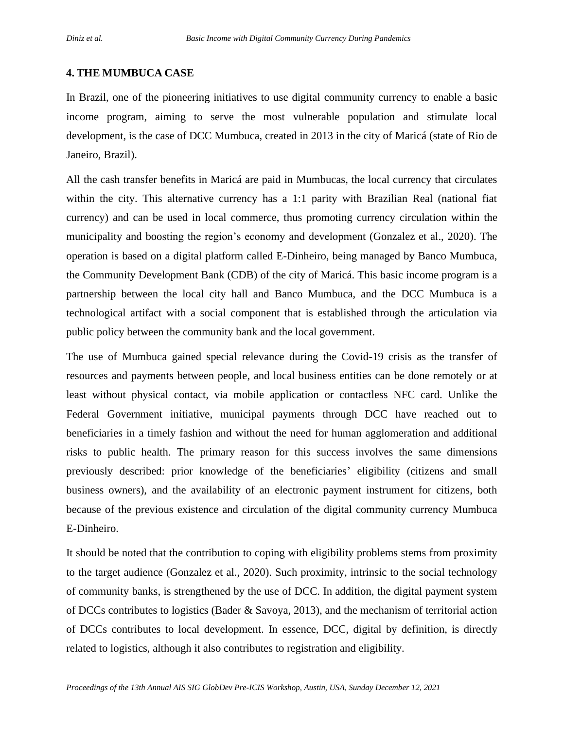### **4. THE MUMBUCA CASE**

In Brazil, one of the pioneering initiatives to use digital community currency to enable a basic income program, aiming to serve the most vulnerable population and stimulate local development, is the case of DCC Mumbuca, created in 2013 in the city of Maricá (state of Rio de Janeiro, Brazil).

All the cash transfer benefits in Maricá are paid in Mumbucas, the local currency that circulates within the city. This alternative currency has a 1:1 parity with Brazilian Real (national fiat currency) and can be used in local commerce, thus promoting currency circulation within the municipality and boosting the region's economy and development (Gonzalez et al., 2020). The operation is based on a digital platform called E-Dinheiro, being managed by Banco Mumbuca, the Community Development Bank (CDB) of the city of Maricá. This basic income program is a partnership between the local city hall and Banco Mumbuca, and the DCC Mumbuca is a technological artifact with a social component that is established through the articulation via public policy between the community bank and the local government.

The use of Mumbuca gained special relevance during the Covid-19 crisis as the transfer of resources and payments between people, and local business entities can be done remotely or at least without physical contact, via mobile application or contactless NFC card. Unlike the Federal Government initiative, municipal payments through DCC have reached out to beneficiaries in a timely fashion and without the need for human agglomeration and additional risks to public health. The primary reason for this success involves the same dimensions previously described: prior knowledge of the beneficiaries' eligibility (citizens and small business owners), and the availability of an electronic payment instrument for citizens, both because of the previous existence and circulation of the digital community currency Mumbuca E-Dinheiro.

It should be noted that the contribution to coping with eligibility problems stems from proximity to the target audience (Gonzalez et al., 2020). Such proximity, intrinsic to the social technology of community banks, is strengthened by the use of DCC. In addition, the digital payment system of DCCs contributes to logistics (Bader & Savoya, 2013), and the mechanism of territorial action of DCCs contributes to local development. In essence, DCC, digital by definition, is directly related to logistics, although it also contributes to registration and eligibility.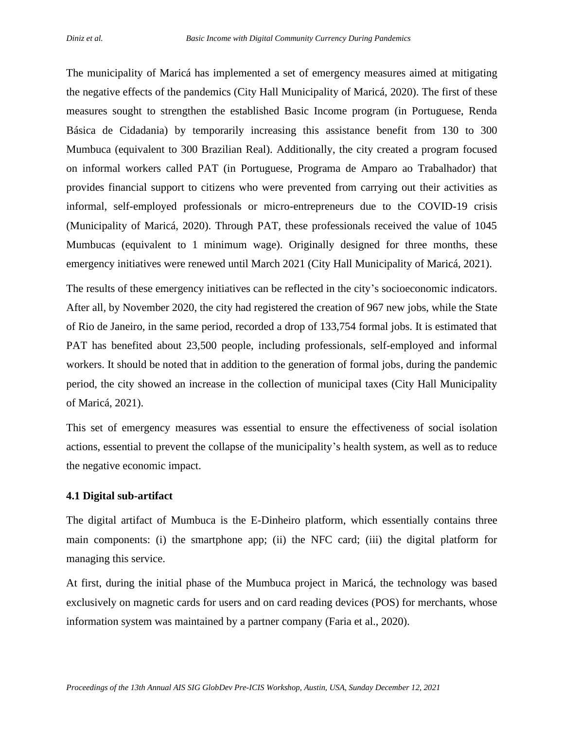The municipality of Maricá has implemented a set of emergency measures aimed at mitigating the negative effects of the pandemics (City Hall Municipality of Maricá, 2020). The first of these measures sought to strengthen the established Basic Income program (in Portuguese, Renda Básica de Cidadania) by temporarily increasing this assistance benefit from 130 to 300 Mumbuca (equivalent to 300 Brazilian Real). Additionally, the city created a program focused on informal workers called PAT (in Portuguese, Programa de Amparo ao Trabalhador) that provides financial support to citizens who were prevented from carrying out their activities as informal, self-employed professionals or micro-entrepreneurs due to the COVID-19 crisis (Municipality of Maricá, 2020). Through PAT, these professionals received the value of 1045 Mumbucas (equivalent to 1 minimum wage). Originally designed for three months, these emergency initiatives were renewed until March 2021 (City Hall Municipality of Maricá, 2021).

The results of these emergency initiatives can be reflected in the city's socioeconomic indicators. After all, by November 2020, the city had registered the creation of 967 new jobs, while the State of Rio de Janeiro, in the same period, recorded a drop of 133,754 formal jobs. It is estimated that PAT has benefited about 23,500 people, including professionals, self-employed and informal workers. It should be noted that in addition to the generation of formal jobs, during the pandemic period, the city showed an increase in the collection of municipal taxes (City Hall Municipality of Maricá, 2021).

This set of emergency measures was essential to ensure the effectiveness of social isolation actions, essential to prevent the collapse of the municipality's health system, as well as to reduce the negative economic impact.

#### **4.1 Digital sub-artifact**

The digital artifact of Mumbuca is the E-Dinheiro platform, which essentially contains three main components: (i) the smartphone app; (ii) the NFC card; (iii) the digital platform for managing this service.

At first, during the initial phase of the Mumbuca project in Maricá, the technology was based exclusively on magnetic cards for users and on card reading devices (POS) for merchants, whose information system was maintained by a partner company (Faria et al., 2020).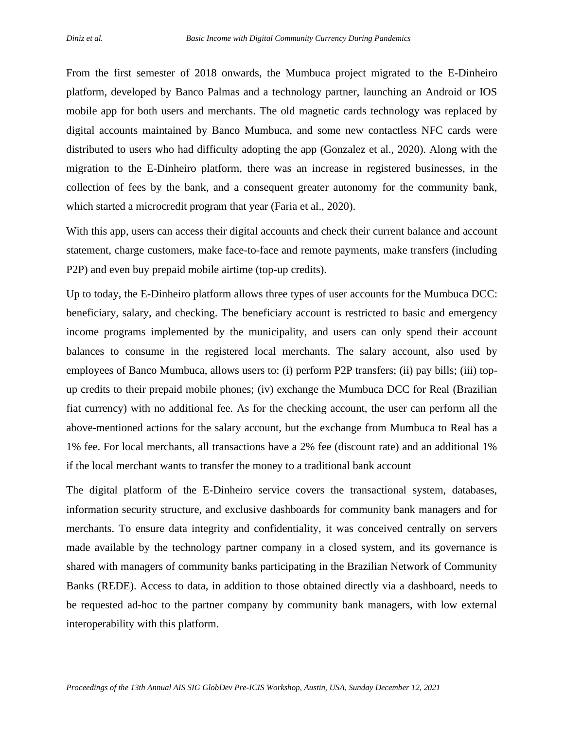From the first semester of 2018 onwards, the Mumbuca project migrated to the E-Dinheiro platform, developed by Banco Palmas and a technology partner, launching an Android or IOS mobile app for both users and merchants. The old magnetic cards technology was replaced by digital accounts maintained by Banco Mumbuca, and some new contactless NFC cards were distributed to users who had difficulty adopting the app (Gonzalez et al., 2020). Along with the migration to the E-Dinheiro platform, there was an increase in registered businesses, in the collection of fees by the bank, and a consequent greater autonomy for the community bank, which started a microcredit program that year (Faria et al., 2020).

With this app, users can access their digital accounts and check their current balance and account statement, charge customers, make face-to-face and remote payments, make transfers (including P2P) and even buy prepaid mobile airtime (top-up credits).

Up to today, the E-Dinheiro platform allows three types of user accounts for the Mumbuca DCC: beneficiary, salary, and checking. The beneficiary account is restricted to basic and emergency income programs implemented by the municipality, and users can only spend their account balances to consume in the registered local merchants. The salary account, also used by employees of Banco Mumbuca, allows users to: (i) perform P2P transfers; (ii) pay bills; (iii) topup credits to their prepaid mobile phones; (iv) exchange the Mumbuca DCC for Real (Brazilian fiat currency) with no additional fee. As for the checking account, the user can perform all the above-mentioned actions for the salary account, but the exchange from Mumbuca to Real has a 1% fee. For local merchants, all transactions have a 2% fee (discount rate) and an additional 1% if the local merchant wants to transfer the money to a traditional bank account

The digital platform of the E-Dinheiro service covers the transactional system, databases, information security structure, and exclusive dashboards for community bank managers and for merchants. To ensure data integrity and confidentiality, it was conceived centrally on servers made available by the technology partner company in a closed system, and its governance is shared with managers of community banks participating in the Brazilian Network of Community Banks (REDE). Access to data, in addition to those obtained directly via a dashboard, needs to be requested ad-hoc to the partner company by community bank managers, with low external interoperability with this platform.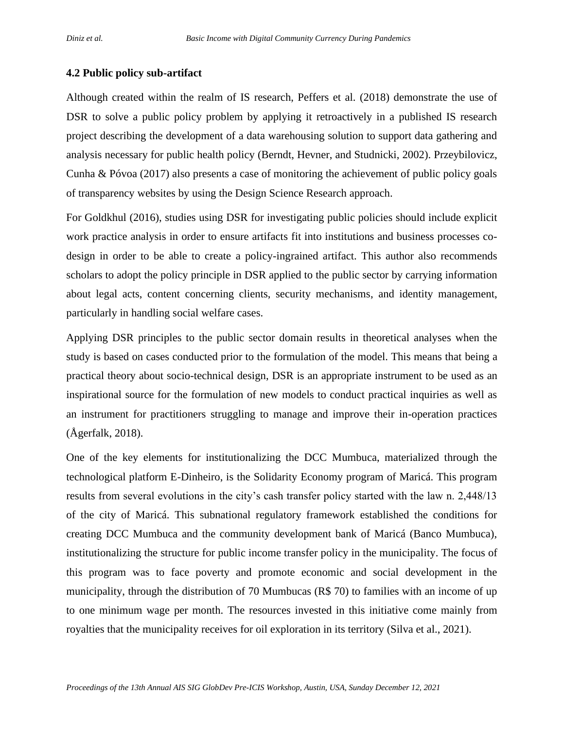### **4.2 Public policy sub-artifact**

Although created within the realm of IS research, Peffers et al. (2018) demonstrate the use of DSR to solve a public policy problem by applying it retroactively in a published IS research project describing the development of a data warehousing solution to support data gathering and analysis necessary for public health policy (Berndt, Hevner, and Studnicki, 2002). Przeybilovicz, Cunha & Póvoa (2017) also presents a case of monitoring the achievement of public policy goals of transparency websites by using the Design Science Research approach.

For Goldkhul (2016), studies using DSR for investigating public policies should include explicit work practice analysis in order to ensure artifacts fit into institutions and business processes codesign in order to be able to create a policy-ingrained artifact. This author also recommends scholars to adopt the policy principle in DSR applied to the public sector by carrying information about legal acts, content concerning clients, security mechanisms, and identity management, particularly in handling social welfare cases.

Applying DSR principles to the public sector domain results in theoretical analyses when the study is based on cases conducted prior to the formulation of the model. This means that being a practical theory about socio-technical design, DSR is an appropriate instrument to be used as an inspirational source for the formulation of new models to conduct practical inquiries as well as an instrument for practitioners struggling to manage and improve their in-operation practices (Ågerfalk, 2018).

One of the key elements for institutionalizing the DCC Mumbuca, materialized through the technological platform E-Dinheiro, is the Solidarity Economy program of Maricá. This program results from several evolutions in the city's cash transfer policy started with the law n. 2,448/13 of the city of Maricá. This subnational regulatory framework established the conditions for creating DCC Mumbuca and the community development bank of Maricá (Banco Mumbuca), institutionalizing the structure for public income transfer policy in the municipality. The focus of this program was to face poverty and promote economic and social development in the municipality, through the distribution of 70 Mumbucas (R\$ 70) to families with an income of up to one minimum wage per month. The resources invested in this initiative come mainly from royalties that the municipality receives for oil exploration in its territory (Silva et al., 2021).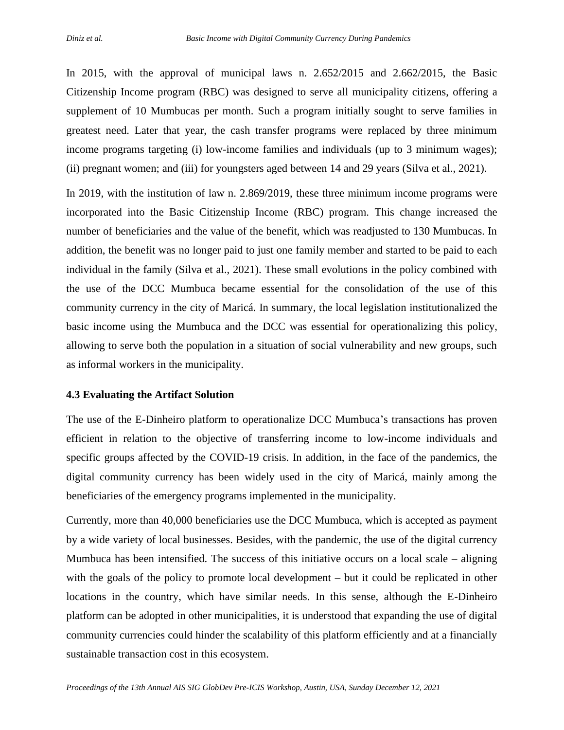In 2015, with the approval of municipal laws n. 2.652/2015 and 2.662/2015, the Basic Citizenship Income program (RBC) was designed to serve all municipality citizens, offering a supplement of 10 Mumbucas per month. Such a program initially sought to serve families in greatest need. Later that year, the cash transfer programs were replaced by three minimum income programs targeting (i) low-income families and individuals (up to 3 minimum wages); (ii) pregnant women; and (iii) for youngsters aged between 14 and 29 years (Silva et al., 2021).

In 2019, with the institution of law n. 2.869/2019, these three minimum income programs were incorporated into the Basic Citizenship Income (RBC) program. This change increased the number of beneficiaries and the value of the benefit, which was readjusted to 130 Mumbucas. In addition, the benefit was no longer paid to just one family member and started to be paid to each individual in the family (Silva et al., 2021). These small evolutions in the policy combined with the use of the DCC Mumbuca became essential for the consolidation of the use of this community currency in the city of Maricá. In summary, the local legislation institutionalized the basic income using the Mumbuca and the DCC was essential for operationalizing this policy, allowing to serve both the population in a situation of social vulnerability and new groups, such as informal workers in the municipality.

#### **4.3 Evaluating the Artifact Solution**

The use of the E-Dinheiro platform to operationalize DCC Mumbuca's transactions has proven efficient in relation to the objective of transferring income to low-income individuals and specific groups affected by the COVID-19 crisis. In addition, in the face of the pandemics, the digital community currency has been widely used in the city of Maricá, mainly among the beneficiaries of the emergency programs implemented in the municipality.

Currently, more than 40,000 beneficiaries use the DCC Mumbuca, which is accepted as payment by a wide variety of local businesses. Besides, with the pandemic, the use of the digital currency Mumbuca has been intensified. The success of this initiative occurs on a local scale – aligning with the goals of the policy to promote local development – but it could be replicated in other locations in the country, which have similar needs. In this sense, although the E-Dinheiro platform can be adopted in other municipalities, it is understood that expanding the use of digital community currencies could hinder the scalability of this platform efficiently and at a financially sustainable transaction cost in this ecosystem.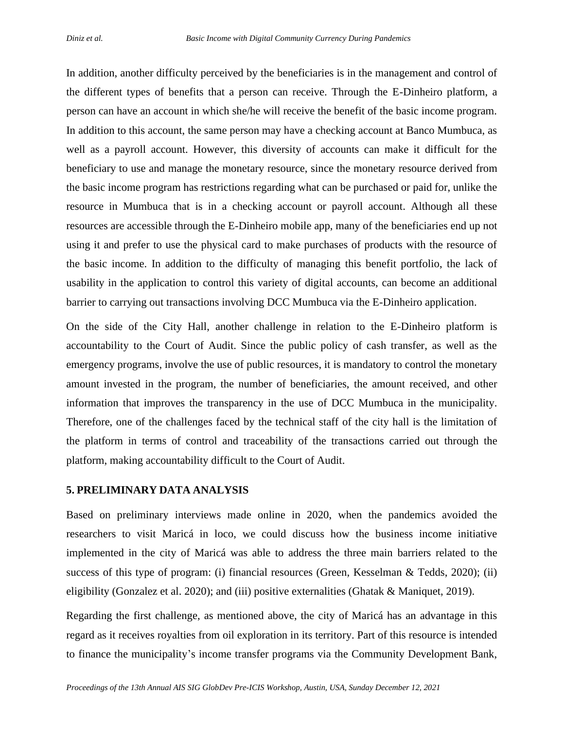In addition, another difficulty perceived by the beneficiaries is in the management and control of the different types of benefits that a person can receive. Through the E-Dinheiro platform, a person can have an account in which she/he will receive the benefit of the basic income program. In addition to this account, the same person may have a checking account at Banco Mumbuca, as well as a payroll account. However, this diversity of accounts can make it difficult for the beneficiary to use and manage the monetary resource, since the monetary resource derived from the basic income program has restrictions regarding what can be purchased or paid for, unlike the resource in Mumbuca that is in a checking account or payroll account. Although all these resources are accessible through the E-Dinheiro mobile app, many of the beneficiaries end up not using it and prefer to use the physical card to make purchases of products with the resource of the basic income. In addition to the difficulty of managing this benefit portfolio, the lack of usability in the application to control this variety of digital accounts, can become an additional barrier to carrying out transactions involving DCC Mumbuca via the E-Dinheiro application.

On the side of the City Hall, another challenge in relation to the E-Dinheiro platform is accountability to the Court of Audit. Since the public policy of cash transfer, as well as the emergency programs, involve the use of public resources, it is mandatory to control the monetary amount invested in the program, the number of beneficiaries, the amount received, and other information that improves the transparency in the use of DCC Mumbuca in the municipality. Therefore, one of the challenges faced by the technical staff of the city hall is the limitation of the platform in terms of control and traceability of the transactions carried out through the platform, making accountability difficult to the Court of Audit.

#### **5. PRELIMINARY DATA ANALYSIS**

Based on preliminary interviews made online in 2020, when the pandemics avoided the researchers to visit Maricá in loco, we could discuss how the business income initiative implemented in the city of Maricá was able to address the three main barriers related to the success of this type of program: (i) financial resources (Green, Kesselman & Tedds, 2020); (ii) eligibility (Gonzalez et al. 2020); and (iii) positive externalities (Ghatak & Maniquet, 2019).

Regarding the first challenge, as mentioned above, the city of Maricá has an advantage in this regard as it receives royalties from oil exploration in its territory. Part of this resource is intended to finance the municipality's income transfer programs via the Community Development Bank,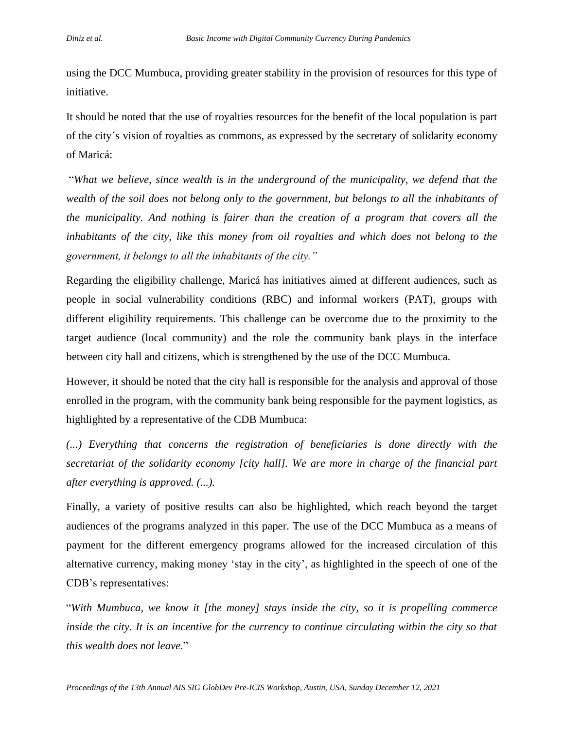using the DCC Mumbuca, providing greater stability in the provision of resources for this type of initiative.

It should be noted that the use of royalties resources for the benefit of the local population is part of the city's vision of royalties as commons, as expressed by the secretary of solidarity economy of Maricá:

"*What we believe, since wealth is in the underground of the municipality, we defend that the wealth of the soil does not belong only to the government, but belongs to all the inhabitants of the municipality. And nothing is fairer than the creation of a program that covers all the inhabitants of the city, like this money from oil royalties and which does not belong to the government, it belongs to all the inhabitants of the city."*

Regarding the eligibility challenge, Maricá has initiatives aimed at different audiences, such as people in social vulnerability conditions (RBC) and informal workers (PAT), groups with different eligibility requirements. This challenge can be overcome due to the proximity to the target audience (local community) and the role the community bank plays in the interface between city hall and citizens, which is strengthened by the use of the DCC Mumbuca.

However, it should be noted that the city hall is responsible for the analysis and approval of those enrolled in the program, with the community bank being responsible for the payment logistics, as highlighted by a representative of the CDB Mumbuca:

*(...) Everything that concerns the registration of beneficiaries is done directly with the secretariat of the solidarity economy [city hall]. We are more in charge of the financial part after everything is approved. (...).*

Finally, a variety of positive results can also be highlighted, which reach beyond the target audiences of the programs analyzed in this paper. The use of the DCC Mumbuca as a means of payment for the different emergency programs allowed for the increased circulation of this alternative currency, making money 'stay in the city', as highlighted in the speech of one of the CDB's representatives:

"*With Mumbuca, we know it [the money] stays inside the city, so it is propelling commerce inside the city. It is an incentive for the currency to continue circulating within the city so that this wealth does not leave*."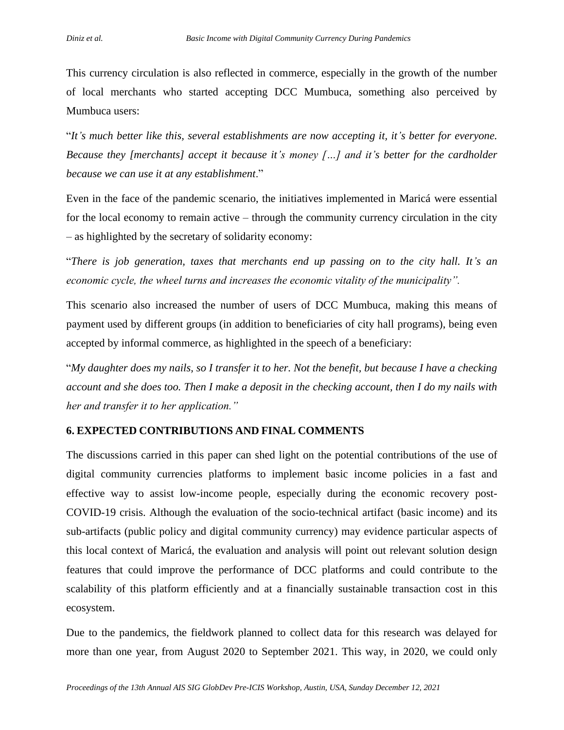This currency circulation is also reflected in commerce, especially in the growth of the number of local merchants who started accepting DCC Mumbuca, something also perceived by Mumbuca users:

"*It's much better like this, several establishments are now accepting it, it's better for everyone. Because they [merchants] accept it because it's money […] and it's better for the cardholder because we can use it at any establishment*."

Even in the face of the pandemic scenario, the initiatives implemented in Maricá were essential for the local economy to remain active – through the community currency circulation in the city – as highlighted by the secretary of solidarity economy:

"*There is job generation, taxes that merchants end up passing on to the city hall. It's an economic cycle, the wheel turns and increases the economic vitality of the municipality".*

This scenario also increased the number of users of DCC Mumbuca, making this means of payment used by different groups (in addition to beneficiaries of city hall programs), being even accepted by informal commerce, as highlighted in the speech of a beneficiary:

"*My daughter does my nails, so I transfer it to her. Not the benefit, but because I have a checking account and she does too. Then I make a deposit in the checking account, then I do my nails with her and transfer it to her application."*

# **6. EXPECTED CONTRIBUTIONS AND FINAL COMMENTS**

The discussions carried in this paper can shed light on the potential contributions of the use of digital community currencies platforms to implement basic income policies in a fast and effective way to assist low-income people, especially during the economic recovery post-COVID-19 crisis. Although the evaluation of the socio-technical artifact (basic income) and its sub-artifacts (public policy and digital community currency) may evidence particular aspects of this local context of Maricá, the evaluation and analysis will point out relevant solution design features that could improve the performance of DCC platforms and could contribute to the scalability of this platform efficiently and at a financially sustainable transaction cost in this ecosystem.

Due to the pandemics, the fieldwork planned to collect data for this research was delayed for more than one year, from August 2020 to September 2021. This way, in 2020, we could only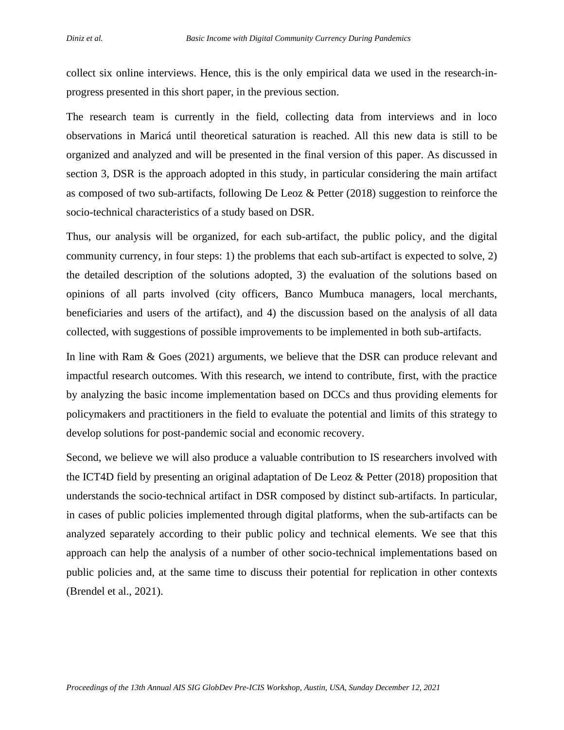collect six online interviews. Hence, this is the only empirical data we used in the research-inprogress presented in this short paper, in the previous section.

The research team is currently in the field, collecting data from interviews and in loco observations in Maricá until theoretical saturation is reached. All this new data is still to be organized and analyzed and will be presented in the final version of this paper. As discussed in section 3, DSR is the approach adopted in this study, in particular considering the main artifact as composed of two sub-artifacts, following De Leoz & Petter (2018) suggestion to reinforce the socio-technical characteristics of a study based on DSR.

Thus, our analysis will be organized, for each sub-artifact, the public policy, and the digital community currency, in four steps: 1) the problems that each sub-artifact is expected to solve, 2) the detailed description of the solutions adopted, 3) the evaluation of the solutions based on opinions of all parts involved (city officers, Banco Mumbuca managers, local merchants, beneficiaries and users of the artifact), and 4) the discussion based on the analysis of all data collected, with suggestions of possible improvements to be implemented in both sub-artifacts.

In line with Ram & Goes (2021) arguments, we believe that the DSR can produce relevant and impactful research outcomes. With this research, we intend to contribute, first, with the practice by analyzing the basic income implementation based on DCCs and thus providing elements for policymakers and practitioners in the field to evaluate the potential and limits of this strategy to develop solutions for post-pandemic social and economic recovery.

Second, we believe we will also produce a valuable contribution to IS researchers involved with the ICT4D field by presenting an original adaptation of De Leoz & Petter (2018) proposition that understands the socio-technical artifact in DSR composed by distinct sub-artifacts. In particular, in cases of public policies implemented through digital platforms, when the sub-artifacts can be analyzed separately according to their public policy and technical elements. We see that this approach can help the analysis of a number of other socio-technical implementations based on public policies and, at the same time to discuss their potential for replication in other contexts (Brendel et al., 2021).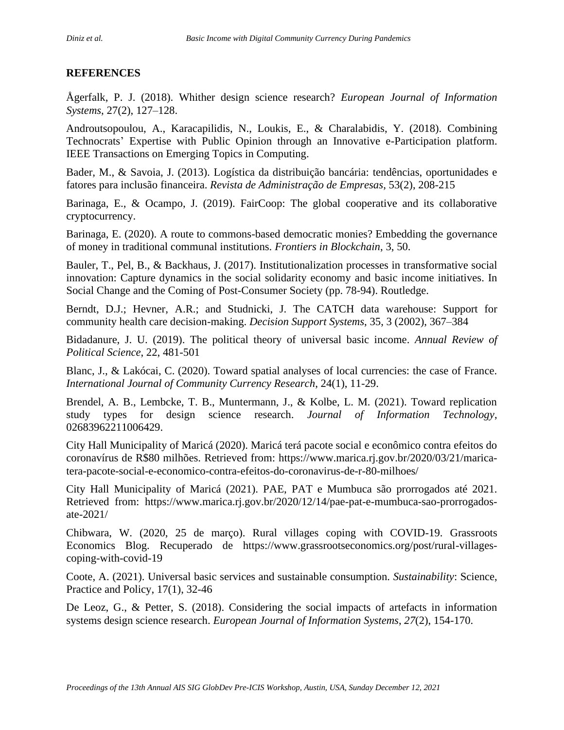# **REFERENCES**

Ågerfalk, P. J. (2018). Whither design science research? *European Journal of Information Systems*, 27(2), 127–128.

Androutsopoulou, A., Karacapilidis, N., Loukis, E., & Charalabidis, Y. (2018). Combining Technocrats' Expertise with Public Opinion through an Innovative e-Participation platform. IEEE Transactions on Emerging Topics in Computing.

Bader, M., & Savoia, J. (2013). Logística da distribuição bancária: tendências, oportunidades e fatores para inclusão financeira. *Revista de Administração de Empresas*, 53(2), 208-215

Barinaga, E., & Ocampo, J. (2019). FairCoop: The global cooperative and its collaborative cryptocurrency.

Barinaga, E. (2020). A route to commons-based democratic monies? Embedding the governance of money in traditional communal institutions. *Frontiers in Blockchain*, 3, 50.

Bauler, T., Pel, B., & Backhaus, J. (2017). Institutionalization processes in transformative social innovation: Capture dynamics in the social solidarity economy and basic income initiatives. In Social Change and the Coming of Post-Consumer Society (pp. 78-94). Routledge.

Berndt, D.J.; Hevner, A.R.; and Studnicki, J. The CATCH data warehouse: Support for community health care decision-making. *Decision Support Systems*, 35, 3 (2002), 367–384

Bidadanure, J. U. (2019). The political theory of universal basic income. *Annual Review of Political Science*, 22, 481-501

Blanc, J., & Lakócai, C. (2020). Toward spatial analyses of local currencies: the case of France. *International Journal of Community Currency Research*, 24(1), 11-29.

Brendel, A. B., Lembcke, T. B., Muntermann, J., & Kolbe, L. M. (2021). Toward replication study types for design science research. *Journal of Information Technology*, 02683962211006429.

City Hall Municipality of Maricá (2020). Maricá terá pacote social e econômico contra efeitos do coronavírus de R\$80 milhões. Retrieved from: https://www.marica.rj.gov.br/2020/03/21/maricatera-pacote-social-e-economico-contra-efeitos-do-coronavirus-de-r-80-milhoes/

City Hall Municipality of Maricá (2021). PAE, PAT e Mumbuca são prorrogados até 2021. Retrieved from: https://www.marica.rj.gov.br/2020/12/14/pae-pat-e-mumbuca-sao-prorrogadosate-2021/

Chibwara, W. (2020, 25 de março). Rural villages coping with COVID-19. Grassroots Economics Blog. Recuperado de https://www.grassrootseconomics.org/post/rural-villagescoping-with-covid-19

Coote, A. (2021). Universal basic services and sustainable consumption. *Sustainability*: Science, Practice and Policy, 17(1), 32-46

De Leoz, G., & Petter, S. (2018). Considering the social impacts of artefacts in information systems design science research. *European Journal of Information Systems*, *27*(2), 154-170.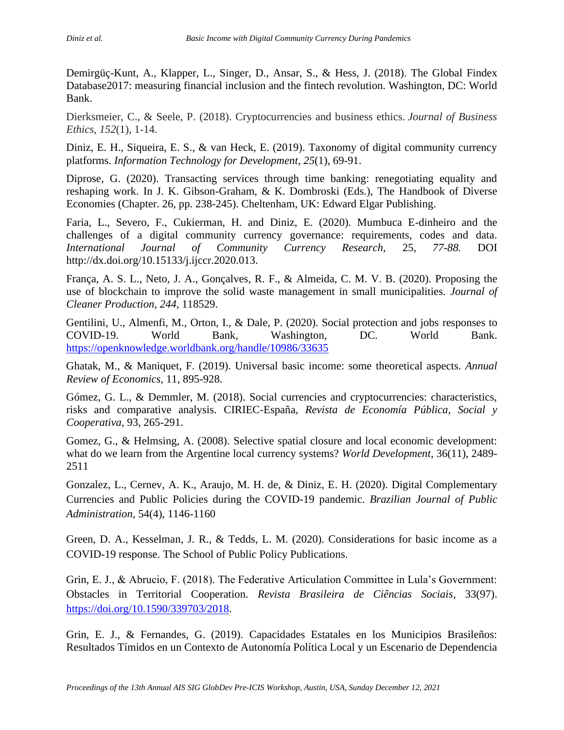Demirgüç-Kunt, A., Klapper, L., Singer, D., Ansar, S., & Hess, J. (2018). The Global Findex Database2017: measuring financial inclusion and the fintech revolution. Washington, DC: World Bank.

Dierksmeier, C., & Seele, P. (2018). Cryptocurrencies and business ethics. *Journal of Business Ethics*, *152*(1), 1-14.

Diniz, E. H., Siqueira, E. S., & van Heck, E. (2019). Taxonomy of digital community currency platforms. *Information Technology for Development*, *25*(1), 69-91.

Diprose, G. (2020). Transacting services through time banking: renegotiating equality and reshaping work. In J. K. Gibson-Graham, & K. Dombroski (Eds.), The Handbook of Diverse Economies (Chapter. 26, pp. 238-245). Cheltenham, UK: Edward Elgar Publishing.

Faria, L., Severo, F., Cukierman, H. and Diniz, E. (2020). Mumbuca E-dinheiro and the challenges of a digital community currency governance: requirements, codes and data. *International Journal of Community Currency Research,* 25, *77-88.* DOI http://dx.doi.org/10.15133/j.ijccr.2020.013.

França, A. S. L., Neto, J. A., Gonçalves, R. F., & Almeida, C. M. V. B. (2020). Proposing the use of blockchain to improve the solid waste management in small municipalities. *Journal of Cleaner Production*, *244*, 118529.

Gentilini, U., Almenfi, M., Orton, I., & Dale, P. (2020). Social protection and jobs responses to COVID-19. World Bank, Washington, DC. World Bank. <https://openknowledge.worldbank.org/handle/10986/33635>

Ghatak, M., & Maniquet, F. (2019). Universal basic income: some theoretical aspects. *Annual Review of Economics,* 11, 895-928.

Gómez, G. L., & Demmler, M. (2018). Social currencies and cryptocurrencies: characteristics, risks and comparative analysis. CIRIEC-España, *Revista de Economía Pública, Social y Cooperativa*, 93, 265-291.

Gomez, G., & Helmsing, A. (2008). Selective spatial closure and local economic development: what do we learn from the Argentine local currency systems? *World Development*, 36(11), 2489- 2511

Gonzalez, L., Cernev, A. K., Araujo, M. H. de, & Diniz, E. H. (2020). Digital Complementary Currencies and Public Policies during the COVID-19 pandemic. *Brazilian Journal of Public Administration,* 54(4), 1146-1160

Green, D. A., Kesselman, J. R., & Tedds, L. M. (2020). Considerations for basic income as a COVID-19 response. The School of Public Policy Publications.

Grin, E. J., & Abrucio, F. (2018). The Federative Articulation Committee in Lula's Government: Obstacles in Territorial Cooperation. *Revista Brasileira de Ciências Sociais*, 33(97). [https://doi.org/10.1590/339703/2018.](https://doi.org/10.1590/339703/2018)

Grin, E. J., & Fernandes, G. (2019). Capacidades Estatales en los Municipios Brasileños: Resultados Tímidos en un Contexto de Autonomía Política Local y un Escenario de Dependencia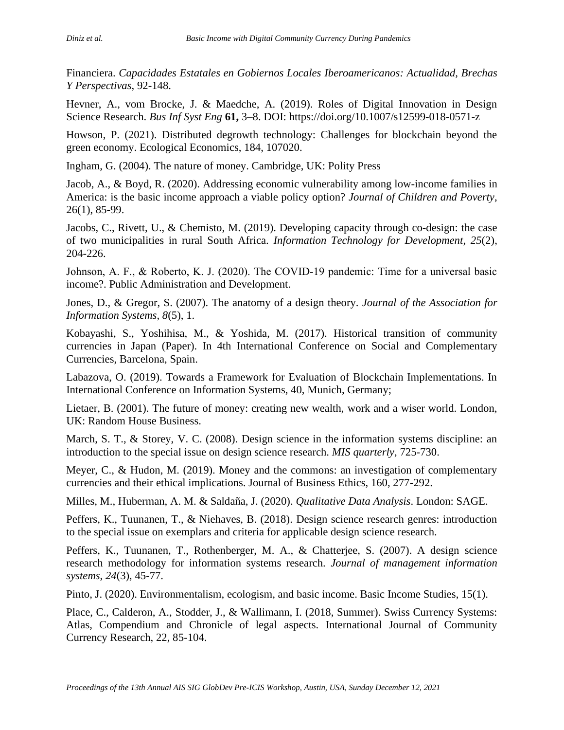Financiera. *Capacidades Estatales en Gobiernos Locales Iberoamericanos: Actualidad, Brechas Y Perspectivas*, 92-148.

Hevner, A., vom Brocke, J. & Maedche, A. (2019). Roles of Digital Innovation in Design Science Research. *Bus Inf Syst Eng* **61,** 3–8. DOI: https://doi.org/10.1007/s12599-018-0571-z

Howson, P. (2021). Distributed degrowth technology: Challenges for blockchain beyond the green economy. Ecological Economics, 184, 107020.

Ingham, G. (2004). The nature of money. Cambridge, UK: Polity Press

Jacob, A., & Boyd, R. (2020). Addressing economic vulnerability among low-income families in America: is the basic income approach a viable policy option? *Journal of Children and Poverty*, 26(1), 85-99.

Jacobs, C., Rivett, U., & Chemisto, M. (2019). Developing capacity through co-design: the case of two municipalities in rural South Africa. *Information Technology for Development*, *25*(2), 204-226.

Johnson, A. F., & Roberto, K. J. (2020). The COVID-19 pandemic: Time for a universal basic income?. Public Administration and Development.

Jones, D., & Gregor, S. (2007). The anatomy of a design theory. *Journal of the Association for Information Systems*, *8*(5), 1.

Kobayashi, S., Yoshihisa, M., & Yoshida, M. (2017). Historical transition of community currencies in Japan (Paper). In 4th International Conference on Social and Complementary Currencies, Barcelona, Spain.

Labazova, O. (2019). Towards a Framework for Evaluation of Blockchain Implementations. In International Conference on Information Systems, 40, Munich, Germany;

Lietaer, B. (2001). The future of money: creating new wealth, work and a wiser world. London, UK: Random House Business.

March, S. T., & Storey, V. C. (2008). Design science in the information systems discipline: an introduction to the special issue on design science research. *MIS quarterly*, 725-730.

Meyer, C., & Hudon, M. (2019). Money and the commons: an investigation of complementary currencies and their ethical implications. Journal of Business Ethics, 160, 277-292.

Milles, M., Huberman, A. M. & Saldaña, J. (2020). *Qualitative Data Analysis*. London: SAGE.

Peffers, K., Tuunanen, T., & Niehaves, B. (2018). Design science research genres: introduction to the special issue on exemplars and criteria for applicable design science research.

Peffers, K., Tuunanen, T., Rothenberger, M. A., & Chatterjee, S. (2007). A design science research methodology for information systems research. *Journal of management information systems*, *24*(3), 45-77.

Pinto, J. (2020). Environmentalism, ecologism, and basic income. Basic Income Studies, 15(1).

Place, C., Calderon, A., Stodder, J., & Wallimann, I. (2018, Summer). Swiss Currency Systems: Atlas, Compendium and Chronicle of legal aspects. International Journal of Community Currency Research, 22, 85-104.